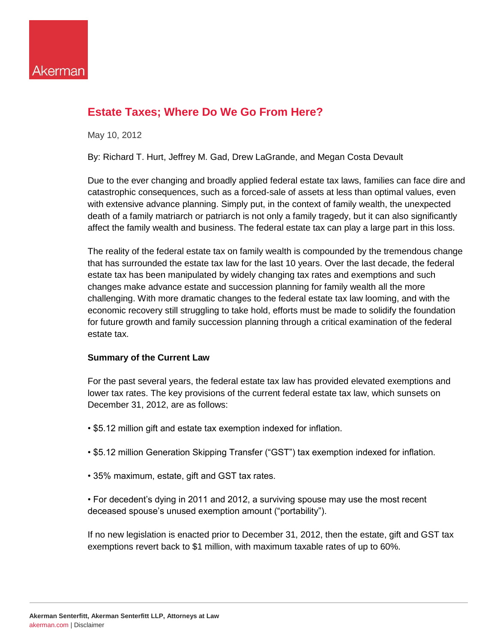

# **Estate Taxes; Where Do We Go From Here?**

May 10, 2012

By: [Richard T. Hurt,](http://www.akerman.com/bios/bio.asp?id=450&name=Hurt) [Jeffrey M. Gad,](http://www.akerman.com/bios/bio.asp?id=628&name=Gad) [Drew LaGrande,](http://www.akerman.com/bios/bio.asp?id=943&name=LaGrande) and [Megan Costa Devault](http://www.akerman.com/bios/bio.asp?id=583&name=DeVault)

Due to the ever changing and broadly applied federal estate tax laws, families can face dire and catastrophic consequences, such as a forced-sale of assets at less than optimal values, even with extensive advance planning. Simply put, in the context of family wealth, the unexpected death of a family matriarch or patriarch is not only a family tragedy, but it can also significantly affect the family wealth and business. The federal estate tax can play a large part in this loss.

The reality of the federal estate tax on family wealth is compounded by the tremendous change that has surrounded the estate tax law for the last 10 years. Over the last decade, the federal estate tax has been manipulated by widely changing tax rates and exemptions and such changes make advance estate and succession planning for family wealth all the more challenging. With more dramatic changes to the federal estate tax law looming, and with the economic recovery still struggling to take hold, efforts must be made to solidify the foundation for future growth and family succession planning through a critical examination of the federal estate tax.

## **Summary of the Current Law**

For the past several years, the federal estate tax law has provided elevated exemptions and lower tax rates. The key provisions of the current federal estate tax law, which sunsets on December 31, 2012, are as follows:

- \$5.12 million gift and estate tax exemption indexed for inflation.
- \$5.12 million Generation Skipping Transfer ("GST") tax exemption indexed for inflation.
- 35% maximum, estate, gift and GST tax rates.

• For decedent's dying in 2011 and 2012, a surviving spouse may use the most recent deceased spouse's unused exemption amount ("portability").

If no new legislation is enacted prior to December 31, 2012, then the estate, gift and GST tax exemptions revert back to \$1 million, with maximum taxable rates of up to 60%.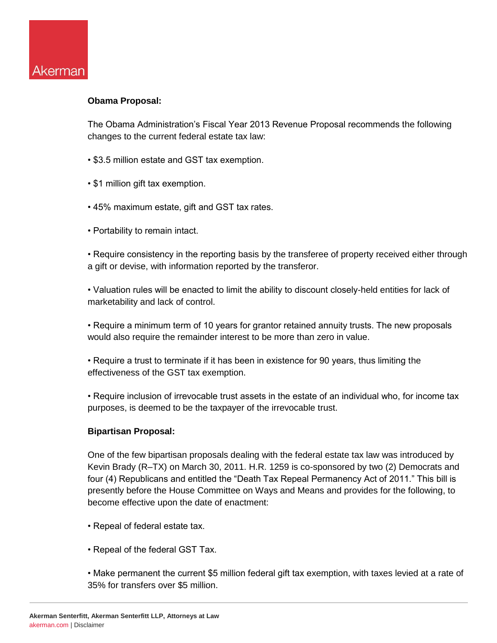

## **Obama Proposal:**

The Obama Administration's Fiscal Year 2013 Revenue Proposal recommends the following changes to the current federal estate tax law:

- \$3.5 million estate and GST tax exemption.
- \$1 million gift tax exemption.
- 45% maximum estate, gift and GST tax rates.
- Portability to remain intact.

• Require consistency in the reporting basis by the transferee of property received either through a gift or devise, with information reported by the transferor.

• Valuation rules will be enacted to limit the ability to discount closely-held entities for lack of marketability and lack of control.

• Require a minimum term of 10 years for grantor retained annuity trusts. The new proposals would also require the remainder interest to be more than zero in value.

• Require a trust to terminate if it has been in existence for 90 years, thus limiting the effectiveness of the GST tax exemption.

• Require inclusion of irrevocable trust assets in the estate of an individual who, for income tax purposes, is deemed to be the taxpayer of the irrevocable trust.

## **Bipartisan Proposal:**

One of the few bipartisan proposals dealing with the federal estate tax law was introduced by Kevin Brady (R–TX) on March 30, 2011. H.R. 1259 is co-sponsored by two (2) Democrats and four (4) Republicans and entitled the "Death Tax Repeal Permanency Act of 2011." This bill is presently before the House Committee on Ways and Means and provides for the following, to become effective upon the date of enactment:

- Repeal of federal estate tax.
- Repeal of the federal GST Tax.

• Make permanent the current \$5 million federal gift tax exemption, with taxes levied at a rate of 35% for transfers over \$5 million.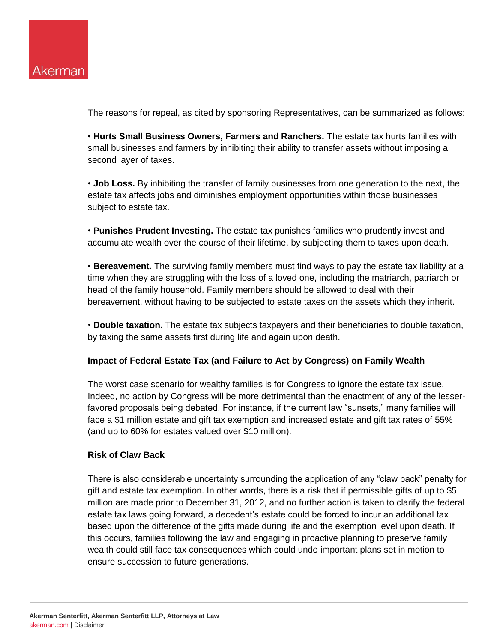

The reasons for repeal, as cited by sponsoring Representatives, can be summarized as follows:

• **Hurts Small Business Owners, Farmers and Ranchers.** The estate tax hurts families with small businesses and farmers by inhibiting their ability to transfer assets without imposing a second layer of taxes.

• **Job Loss.** By inhibiting the transfer of family businesses from one generation to the next, the estate tax affects jobs and diminishes employment opportunities within those businesses subject to estate tax.

• **Punishes Prudent Investing.** The estate tax punishes families who prudently invest and accumulate wealth over the course of their lifetime, by subjecting them to taxes upon death.

• **Bereavement.** The surviving family members must find ways to pay the estate tax liability at a time when they are struggling with the loss of a loved one, including the matriarch, patriarch or head of the family household. Family members should be allowed to deal with their bereavement, without having to be subjected to estate taxes on the assets which they inherit.

• **Double taxation.** The estate tax subjects taxpayers and their beneficiaries to double taxation, by taxing the same assets first during life and again upon death.

## **Impact of Federal Estate Tax (and Failure to Act by Congress) on Family Wealth**

The worst case scenario for wealthy families is for Congress to ignore the estate tax issue. Indeed, no action by Congress will be more detrimental than the enactment of any of the lesserfavored proposals being debated. For instance, if the current law "sunsets," many families will face a \$1 million estate and gift tax exemption and increased estate and gift tax rates of 55% (and up to 60% for estates valued over \$10 million).

## **Risk of Claw Back**

There is also considerable uncertainty surrounding the application of any "claw back" penalty for gift and estate tax exemption. In other words, there is a risk that if permissible gifts of up to \$5 million are made prior to December 31, 2012, and no further action is taken to clarify the federal estate tax laws going forward, a decedent's estate could be forced to incur an additional tax based upon the difference of the gifts made during life and the exemption level upon death. If this occurs, families following the law and engaging in proactive planning to preserve family wealth could still face tax consequences which could undo important plans set in motion to ensure succession to future generations.